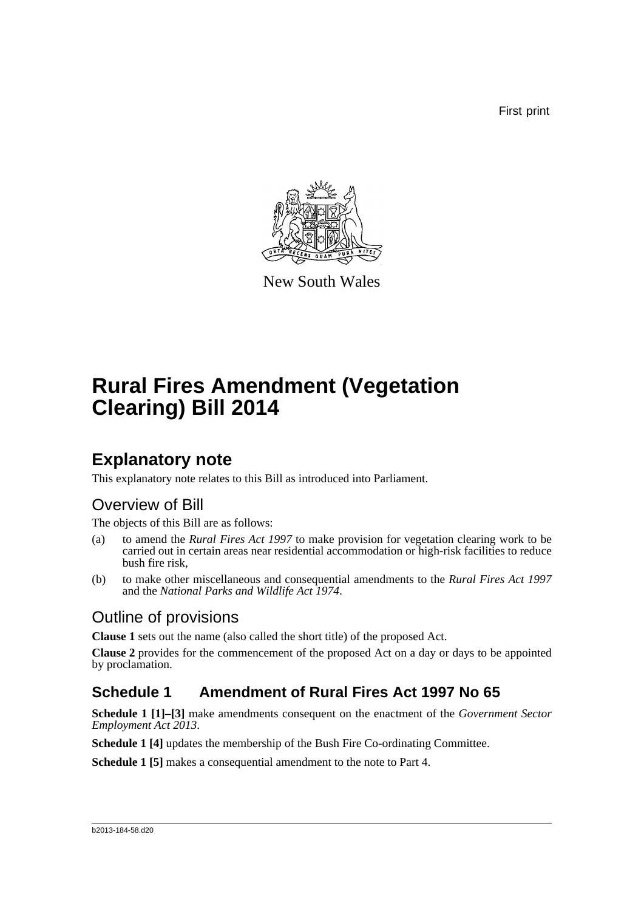First print



New South Wales

# **Rural Fires Amendment (Vegetation Clearing) Bill 2014**

## **Explanatory note**

This explanatory note relates to this Bill as introduced into Parliament.

## Overview of Bill

The objects of this Bill are as follows:

- (a) to amend the *Rural Fires Act 1997* to make provision for vegetation clearing work to be carried out in certain areas near residential accommodation or high-risk facilities to reduce bush fire risk,
- (b) to make other miscellaneous and consequential amendments to the *Rural Fires Act 1997* and the *National Parks and Wildlife Act 1974*.

## Outline of provisions

**Clause 1** sets out the name (also called the short title) of the proposed Act.

**Clause 2** provides for the commencement of the proposed Act on a day or days to be appointed by proclamation.

## **Schedule 1 Amendment of Rural Fires Act 1997 No 65**

**Schedule 1 [1]–[3]** make amendments consequent on the enactment of the *Government Sector Employment Act 2013*.

**Schedule 1 [4]** updates the membership of the Bush Fire Co-ordinating Committee.

**Schedule 1 [5]** makes a consequential amendment to the note to Part 4.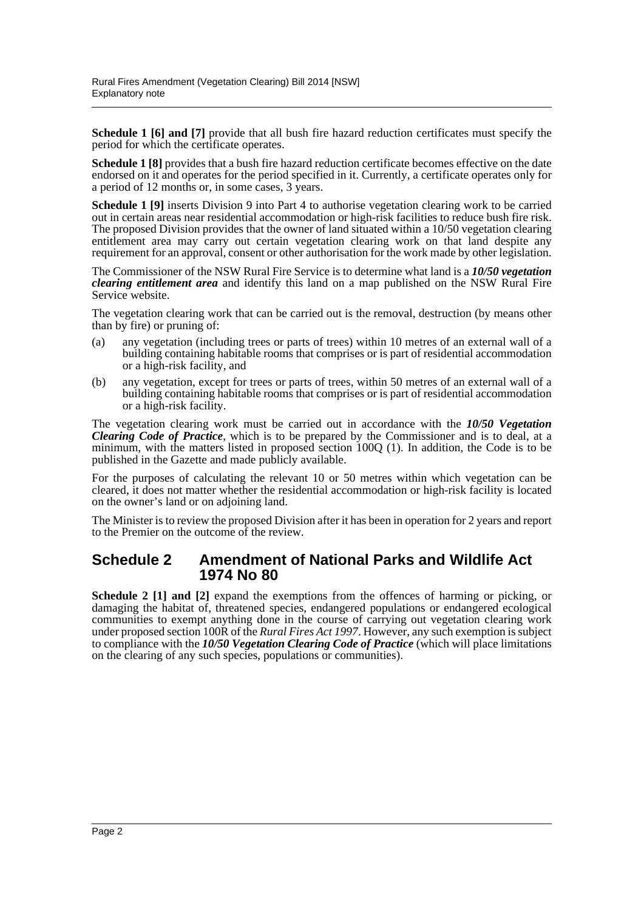**Schedule 1 [6] and [7]** provide that all bush fire hazard reduction certificates must specify the period for which the certificate operates.

**Schedule 1 [8]** provides that a bush fire hazard reduction certificate becomes effective on the date endorsed on it and operates for the period specified in it. Currently, a certificate operates only for a period of 12 months or, in some cases, 3 years.

**Schedule 1 [9]** inserts Division 9 into Part 4 to authorise vegetation clearing work to be carried out in certain areas near residential accommodation or high-risk facilities to reduce bush fire risk. The proposed Division provides that the owner of land situated within a 10/50 vegetation clearing entitlement area may carry out certain vegetation clearing work on that land despite any requirement for an approval, consent or other authorisation for the work made by other legislation.

The Commissioner of the NSW Rural Fire Service is to determine what land is a *10/50 vegetation clearing entitlement area* and identify this land on a map published on the NSW Rural Fire Service website.

The vegetation clearing work that can be carried out is the removal, destruction (by means other than by fire) or pruning of:

- (a) any vegetation (including trees or parts of trees) within 10 metres of an external wall of a building containing habitable rooms that comprises or is part of residential accommodation or a high-risk facility, and
- (b) any vegetation, except for trees or parts of trees, within 50 metres of an external wall of a building containing habitable rooms that comprises or is part of residential accommodation or a high-risk facility.

The vegetation clearing work must be carried out in accordance with the *10/50 Vegetation Clearing Code of Practice*, which is to be prepared by the Commissioner and is to deal, at a minimum, with the matters listed in proposed section 100Q (1). In addition, the Code is to be published in the Gazette and made publicly available.

For the purposes of calculating the relevant 10 or 50 metres within which vegetation can be cleared, it does not matter whether the residential accommodation or high-risk facility is located on the owner's land or on adjoining land.

The Minister is to review the proposed Division after it has been in operation for 2 years and report to the Premier on the outcome of the review.

#### **Schedule 2 Amendment of National Parks and Wildlife Act 1974 No 80**

**Schedule 2 [1] and [2]** expand the exemptions from the offences of harming or picking, or damaging the habitat of, threatened species, endangered populations or endangered ecological communities to exempt anything done in the course of carrying out vegetation clearing work under proposed section 100R of the *Rural Fires Act 1997*. However, any such exemption is subject to compliance with the *10/50 Vegetation Clearing Code of Practice* (which will place limitations on the clearing of any such species, populations or communities).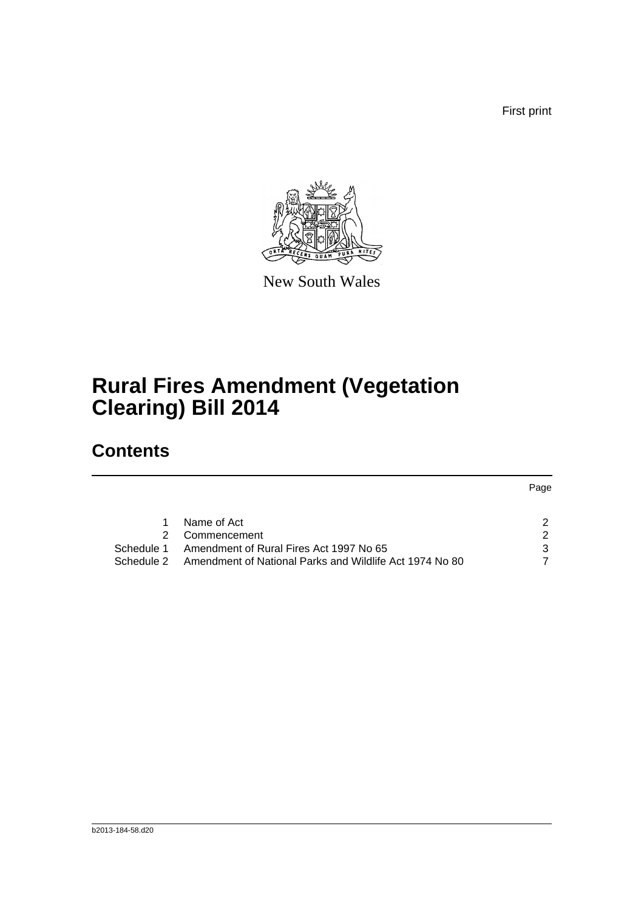First print



New South Wales

# **Rural Fires Amendment (Vegetation Clearing) Bill 2014**

## **Contents**

| Name of Act                                                        | 2  |
|--------------------------------------------------------------------|----|
| 2 Commencement                                                     |    |
| Schedule 1 Amendment of Rural Fires Act 1997 No 65                 | -3 |
| Schedule 2 Amendment of National Parks and Wildlife Act 1974 No 80 |    |
|                                                                    |    |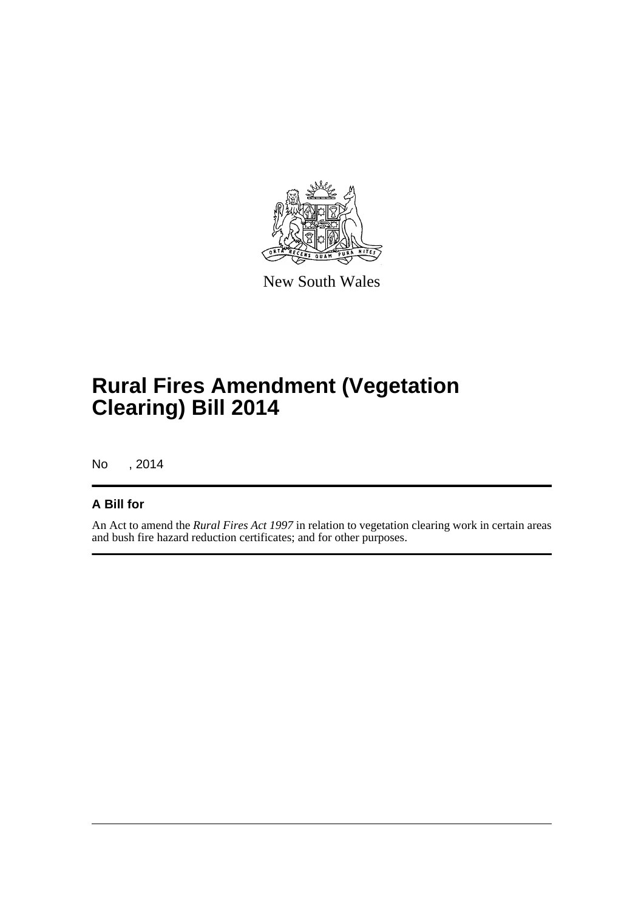

New South Wales

# **Rural Fires Amendment (Vegetation Clearing) Bill 2014**

No , 2014

#### **A Bill for**

An Act to amend the *Rural Fires Act 1997* in relation to vegetation clearing work in certain areas and bush fire hazard reduction certificates; and for other purposes.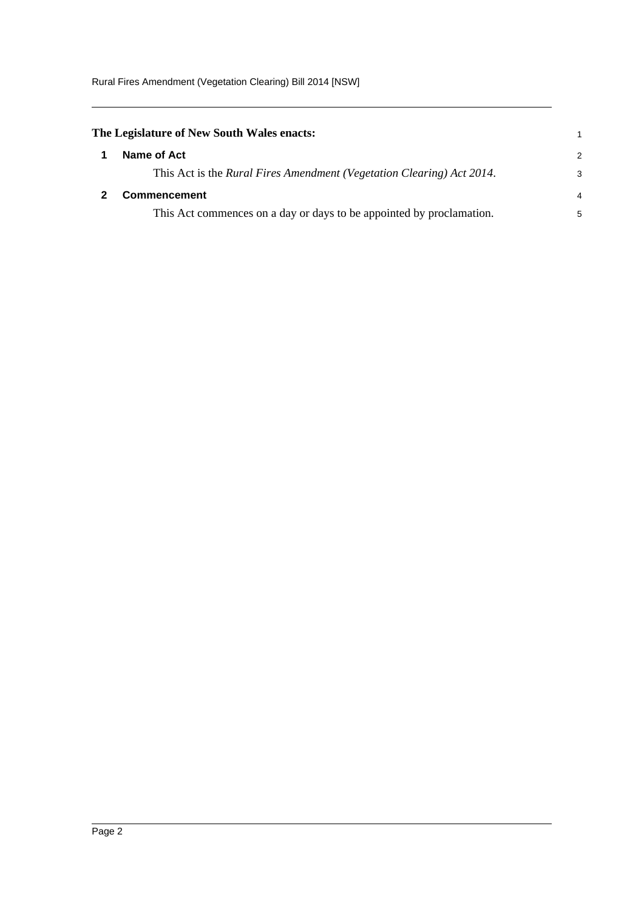Rural Fires Amendment (Vegetation Clearing) Bill 2014 [NSW]

<span id="page-4-1"></span><span id="page-4-0"></span>

| The Legislature of New South Wales enacts: |                                                                       |               |
|--------------------------------------------|-----------------------------------------------------------------------|---------------|
|                                            | Name of Act                                                           | $\mathcal{P}$ |
|                                            | This Act is the Rural Fires Amendment (Vegetation Clearing) Act 2014. | 3             |
|                                            | <b>Commencement</b>                                                   | 4             |
|                                            | This Act commences on a day or days to be appointed by proclamation.  | 5             |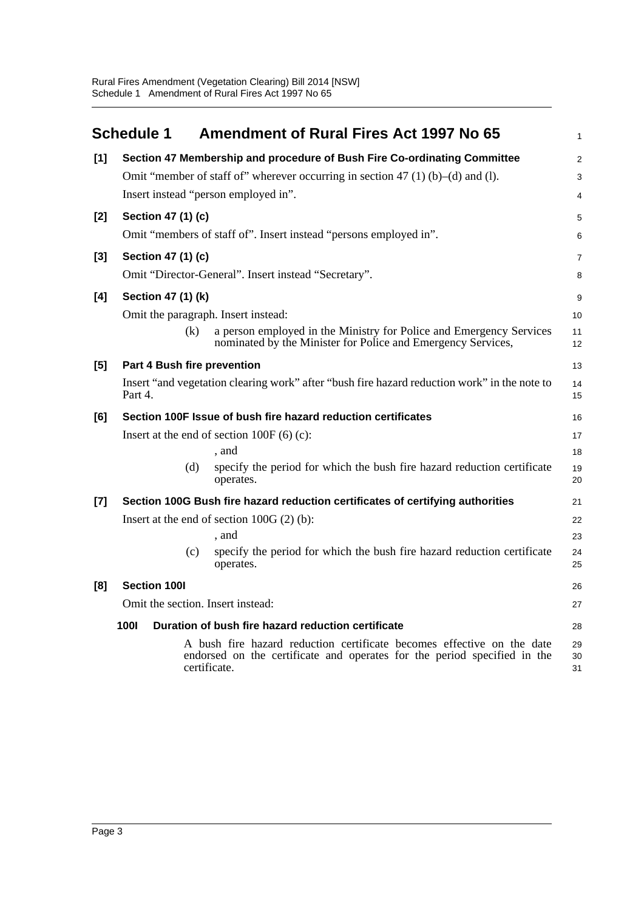<span id="page-5-0"></span>

|       | <b>Schedule 1</b>                   | <b>Amendment of Rural Fires Act 1997 No 65</b>                                                                                                                     | 1              |
|-------|-------------------------------------|--------------------------------------------------------------------------------------------------------------------------------------------------------------------|----------------|
| [1]   |                                     | Section 47 Membership and procedure of Bush Fire Co-ordinating Committee                                                                                           | $\overline{a}$ |
|       |                                     | Omit "member of staff of" wherever occurring in section 47 (1) (b)–(d) and (l).                                                                                    | 3              |
|       |                                     | Insert instead "person employed in".                                                                                                                               | 4              |
| $[2]$ | Section 47 (1) (c)                  |                                                                                                                                                                    | 5              |
|       |                                     | Omit "members of staff of". Insert instead "persons employed in".                                                                                                  | 6              |
| $[3]$ | Section 47 (1) (c)                  |                                                                                                                                                                    | 7              |
|       |                                     | Omit "Director-General". Insert instead "Secretary".                                                                                                               | 8              |
| [4]   | Section 47 (1) (k)                  |                                                                                                                                                                    | 9              |
|       | Omit the paragraph. Insert instead: |                                                                                                                                                                    | 10             |
|       | (k)                                 | a person employed in the Ministry for Police and Emergency Services<br>nominated by the Minister for Police and Emergency Services,                                | 11<br>12       |
| [5]   | Part 4 Bush fire prevention         |                                                                                                                                                                    | 13             |
|       | Part 4.                             | Insert "and vegetation clearing work" after "bush fire hazard reduction work" in the note to                                                                       | 14<br>15       |
| [6]   |                                     | Section 100F Issue of bush fire hazard reduction certificates                                                                                                      | 16             |
|       |                                     | Insert at the end of section $100F(6)(c)$ :                                                                                                                        | 17             |
|       |                                     | , and                                                                                                                                                              | 18             |
|       | (d)                                 | specify the period for which the bush fire hazard reduction certificate<br>operates.                                                                               | 19<br>20       |
| $[7]$ |                                     | Section 100G Bush fire hazard reduction certificates of certifying authorities                                                                                     | 21             |
|       |                                     | Insert at the end of section $100G(2)$ (b):                                                                                                                        | 22             |
|       |                                     | , and                                                                                                                                                              | 23             |
|       | (c)                                 | specify the period for which the bush fire hazard reduction certificate<br>operates.                                                                               | 24<br>25       |
| [8]   | <b>Section 100I</b>                 |                                                                                                                                                                    | 26             |
|       | Omit the section. Insert instead:   |                                                                                                                                                                    | 27             |
|       | <b>1001</b>                         | Duration of bush fire hazard reduction certificate                                                                                                                 | 28             |
|       |                                     | A bush fire hazard reduction certificate becomes effective on the date<br>endorsed on the certificate and operates for the period specified in the<br>certificate. | 29<br>30<br>31 |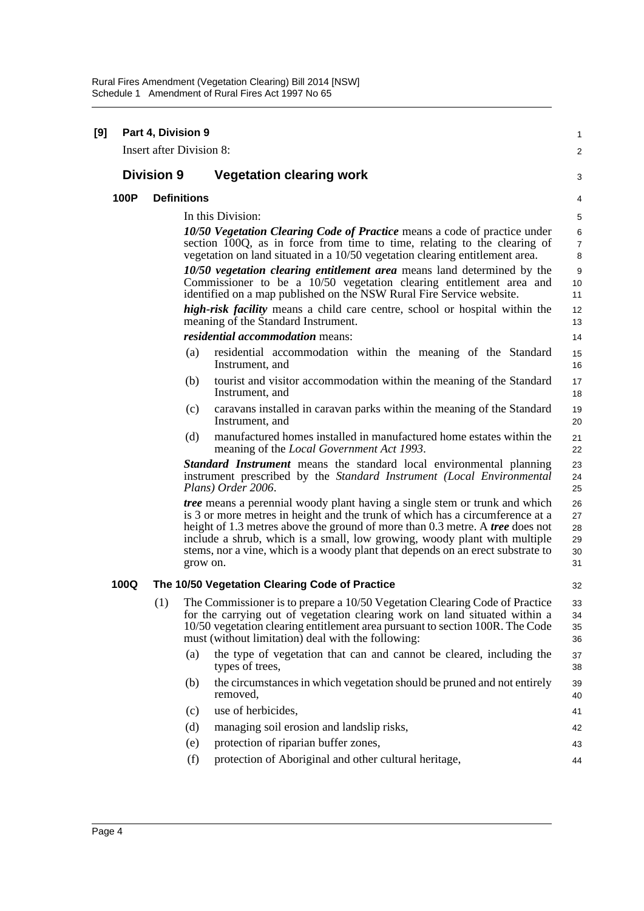| <b>Insert after Division 8:</b><br>$\overline{c}$<br><b>Division 9</b><br><b>Vegetation clearing work</b><br>3<br>100P<br><b>Definitions</b><br>4<br>In this Division:<br>5<br>10/50 Vegetation Clearing Code of Practice means a code of practice under<br>6<br>section 100Q, as in force from time to time, relating to the clearing of<br>7<br>vegetation on land situated in a 10/50 vegetation clearing entitlement area.<br>8<br>10/50 vegetation clearing entitlement area means land determined by the<br>9<br>Commissioner to be a 10/50 vegetation clearing entitlement area and<br>10<br>identified on a map published on the NSW Rural Fire Service website.<br>11<br><i>high-risk facility</i> means a child care centre, school or hospital within the<br>12<br>meaning of the Standard Instrument.<br>13<br><i>residential accommodation means:</i><br>14<br>(a)<br>residential accommodation within the meaning of the Standard<br>15<br>Instrument, and<br>16<br>(b)<br>tourist and visitor accommodation within the meaning of the Standard<br>17<br>Instrument, and<br>18<br>caravans installed in caravan parks within the meaning of the Standard<br>(c)<br>19<br>Instrument, and<br>20<br>manufactured homes installed in manufactured home estates within the<br>(d)<br>21<br>meaning of the Local Government Act 1993.<br>22<br><b>Standard Instrument</b> means the standard local environmental planning<br>23<br>instrument prescribed by the Standard Instrument (Local Environmental<br>24<br>Plans) Order 2006.<br>25<br><i>tree</i> means a perennial woody plant having a single stem or trunk and which<br>26<br>is 3 or more metres in height and the trunk of which has a circumference at a<br>27<br>height of 1.3 metres above the ground of more than 0.3 metre. A <i>tree</i> does not<br>28<br>include a shrub, which is a small, low growing, woody plant with multiple<br>29<br>stems, nor a vine, which is a woody plant that depends on an erect substrate to<br>30<br>grow on.<br>31<br>100Q<br>The 10/50 Vegetation Clearing Code of Practice<br>32<br>(1)<br>The Commissioner is to prepare a 10/50 Vegetation Clearing Code of Practice<br>33<br>for the carrying out of vegetation clearing work on land situated within a<br>34<br>10/50 vegetation clearing entitlement area pursuant to section 100R. The Code<br>35<br>must (without limitation) deal with the following:<br>36<br>the type of vegetation that can and cannot be cleared, including the<br>(a)<br>37<br>types of trees,<br>38<br>the circumstances in which vegetation should be pruned and not entirely<br>(b)<br>39<br>removed,<br>40<br>use of herbicides,<br>(c)<br>41<br>(d)<br>managing soil erosion and landslip risks,<br>42<br>protection of riparian buffer zones,<br>(e)<br>43<br>protection of Aboriginal and other cultural heritage,<br>(f)<br>44 | [9] |  | Part 4, Division 9 |  |  | 1 |
|--------------------------------------------------------------------------------------------------------------------------------------------------------------------------------------------------------------------------------------------------------------------------------------------------------------------------------------------------------------------------------------------------------------------------------------------------------------------------------------------------------------------------------------------------------------------------------------------------------------------------------------------------------------------------------------------------------------------------------------------------------------------------------------------------------------------------------------------------------------------------------------------------------------------------------------------------------------------------------------------------------------------------------------------------------------------------------------------------------------------------------------------------------------------------------------------------------------------------------------------------------------------------------------------------------------------------------------------------------------------------------------------------------------------------------------------------------------------------------------------------------------------------------------------------------------------------------------------------------------------------------------------------------------------------------------------------------------------------------------------------------------------------------------------------------------------------------------------------------------------------------------------------------------------------------------------------------------------------------------------------------------------------------------------------------------------------------------------------------------------------------------------------------------------------------------------------------------------------------------------------------------------------------------------------------------------------------------------------------------------------------------------------------------------------------------------------------------------------------------------------------------------------------------------------------------------------------------------------------------------------------------------------------------------------------------------------------------------------------------------------------------------------------------------------------------------------------------------------------------------------------------|-----|--|--------------------|--|--|---|
|                                                                                                                                                                                                                                                                                                                                                                                                                                                                                                                                                                                                                                                                                                                                                                                                                                                                                                                                                                                                                                                                                                                                                                                                                                                                                                                                                                                                                                                                                                                                                                                                                                                                                                                                                                                                                                                                                                                                                                                                                                                                                                                                                                                                                                                                                                                                                                                                                                                                                                                                                                                                                                                                                                                                                                                                                                                                                      |     |  |                    |  |  |   |
|                                                                                                                                                                                                                                                                                                                                                                                                                                                                                                                                                                                                                                                                                                                                                                                                                                                                                                                                                                                                                                                                                                                                                                                                                                                                                                                                                                                                                                                                                                                                                                                                                                                                                                                                                                                                                                                                                                                                                                                                                                                                                                                                                                                                                                                                                                                                                                                                                                                                                                                                                                                                                                                                                                                                                                                                                                                                                      |     |  |                    |  |  |   |
|                                                                                                                                                                                                                                                                                                                                                                                                                                                                                                                                                                                                                                                                                                                                                                                                                                                                                                                                                                                                                                                                                                                                                                                                                                                                                                                                                                                                                                                                                                                                                                                                                                                                                                                                                                                                                                                                                                                                                                                                                                                                                                                                                                                                                                                                                                                                                                                                                                                                                                                                                                                                                                                                                                                                                                                                                                                                                      |     |  |                    |  |  |   |
|                                                                                                                                                                                                                                                                                                                                                                                                                                                                                                                                                                                                                                                                                                                                                                                                                                                                                                                                                                                                                                                                                                                                                                                                                                                                                                                                                                                                                                                                                                                                                                                                                                                                                                                                                                                                                                                                                                                                                                                                                                                                                                                                                                                                                                                                                                                                                                                                                                                                                                                                                                                                                                                                                                                                                                                                                                                                                      |     |  |                    |  |  |   |
|                                                                                                                                                                                                                                                                                                                                                                                                                                                                                                                                                                                                                                                                                                                                                                                                                                                                                                                                                                                                                                                                                                                                                                                                                                                                                                                                                                                                                                                                                                                                                                                                                                                                                                                                                                                                                                                                                                                                                                                                                                                                                                                                                                                                                                                                                                                                                                                                                                                                                                                                                                                                                                                                                                                                                                                                                                                                                      |     |  |                    |  |  |   |
|                                                                                                                                                                                                                                                                                                                                                                                                                                                                                                                                                                                                                                                                                                                                                                                                                                                                                                                                                                                                                                                                                                                                                                                                                                                                                                                                                                                                                                                                                                                                                                                                                                                                                                                                                                                                                                                                                                                                                                                                                                                                                                                                                                                                                                                                                                                                                                                                                                                                                                                                                                                                                                                                                                                                                                                                                                                                                      |     |  |                    |  |  |   |
|                                                                                                                                                                                                                                                                                                                                                                                                                                                                                                                                                                                                                                                                                                                                                                                                                                                                                                                                                                                                                                                                                                                                                                                                                                                                                                                                                                                                                                                                                                                                                                                                                                                                                                                                                                                                                                                                                                                                                                                                                                                                                                                                                                                                                                                                                                                                                                                                                                                                                                                                                                                                                                                                                                                                                                                                                                                                                      |     |  |                    |  |  |   |
|                                                                                                                                                                                                                                                                                                                                                                                                                                                                                                                                                                                                                                                                                                                                                                                                                                                                                                                                                                                                                                                                                                                                                                                                                                                                                                                                                                                                                                                                                                                                                                                                                                                                                                                                                                                                                                                                                                                                                                                                                                                                                                                                                                                                                                                                                                                                                                                                                                                                                                                                                                                                                                                                                                                                                                                                                                                                                      |     |  |                    |  |  |   |
|                                                                                                                                                                                                                                                                                                                                                                                                                                                                                                                                                                                                                                                                                                                                                                                                                                                                                                                                                                                                                                                                                                                                                                                                                                                                                                                                                                                                                                                                                                                                                                                                                                                                                                                                                                                                                                                                                                                                                                                                                                                                                                                                                                                                                                                                                                                                                                                                                                                                                                                                                                                                                                                                                                                                                                                                                                                                                      |     |  |                    |  |  |   |
|                                                                                                                                                                                                                                                                                                                                                                                                                                                                                                                                                                                                                                                                                                                                                                                                                                                                                                                                                                                                                                                                                                                                                                                                                                                                                                                                                                                                                                                                                                                                                                                                                                                                                                                                                                                                                                                                                                                                                                                                                                                                                                                                                                                                                                                                                                                                                                                                                                                                                                                                                                                                                                                                                                                                                                                                                                                                                      |     |  |                    |  |  |   |
|                                                                                                                                                                                                                                                                                                                                                                                                                                                                                                                                                                                                                                                                                                                                                                                                                                                                                                                                                                                                                                                                                                                                                                                                                                                                                                                                                                                                                                                                                                                                                                                                                                                                                                                                                                                                                                                                                                                                                                                                                                                                                                                                                                                                                                                                                                                                                                                                                                                                                                                                                                                                                                                                                                                                                                                                                                                                                      |     |  |                    |  |  |   |
|                                                                                                                                                                                                                                                                                                                                                                                                                                                                                                                                                                                                                                                                                                                                                                                                                                                                                                                                                                                                                                                                                                                                                                                                                                                                                                                                                                                                                                                                                                                                                                                                                                                                                                                                                                                                                                                                                                                                                                                                                                                                                                                                                                                                                                                                                                                                                                                                                                                                                                                                                                                                                                                                                                                                                                                                                                                                                      |     |  |                    |  |  |   |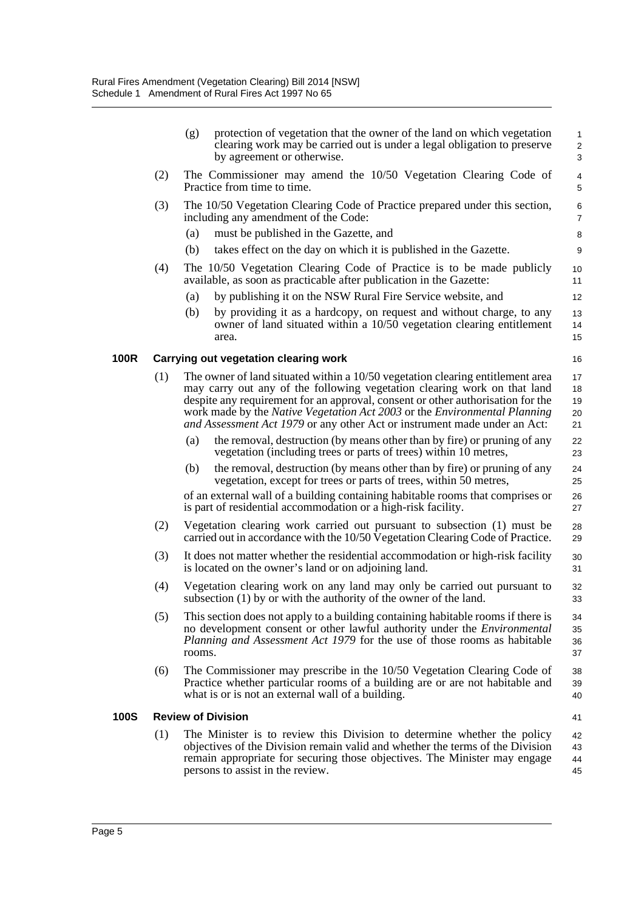|             |     | (g)<br>protection of vegetation that the owner of the land on which vegetation<br>clearing work may be carried out is under a legal obligation to preserve<br>by agreement or otherwise.                                                                                                                                                                                                                | $\mathbf{1}$<br>2<br>$\mathbf{3}$ |
|-------------|-----|---------------------------------------------------------------------------------------------------------------------------------------------------------------------------------------------------------------------------------------------------------------------------------------------------------------------------------------------------------------------------------------------------------|-----------------------------------|
|             | (2) | The Commissioner may amend the 10/50 Vegetation Clearing Code of<br>Practice from time to time.                                                                                                                                                                                                                                                                                                         | $\overline{4}$<br>5               |
|             | (3) | The 10/50 Vegetation Clearing Code of Practice prepared under this section,<br>including any amendment of the Code:                                                                                                                                                                                                                                                                                     | 6<br>$\overline{7}$               |
|             |     | (a)<br>must be published in the Gazette, and                                                                                                                                                                                                                                                                                                                                                            | 8                                 |
|             |     | (b)<br>takes effect on the day on which it is published in the Gazette.                                                                                                                                                                                                                                                                                                                                 | 9                                 |
|             | (4) | The 10/50 Vegetation Clearing Code of Practice is to be made publicly<br>available, as soon as practicable after publication in the Gazette:                                                                                                                                                                                                                                                            | 10<br>11                          |
|             |     | by publishing it on the NSW Rural Fire Service website, and<br>(a)                                                                                                                                                                                                                                                                                                                                      | 12                                |
|             |     | (b)<br>by providing it as a hardcopy, on request and without charge, to any<br>owner of land situated within a 10/50 vegetation clearing entitlement<br>area.                                                                                                                                                                                                                                           | 13<br>14<br>15                    |
| <b>100R</b> |     | <b>Carrying out vegetation clearing work</b>                                                                                                                                                                                                                                                                                                                                                            | 16                                |
|             | (1) | The owner of land situated within a 10/50 vegetation clearing entitlement area<br>may carry out any of the following vegetation clearing work on that land<br>despite any requirement for an approval, consent or other authorisation for the<br>work made by the Native Vegetation Act 2003 or the Environmental Planning<br>and Assessment Act 1979 or any other Act or instrument made under an Act: | 17<br>18<br>19<br>20<br>21        |
|             |     | the removal, destruction (by means other than by fire) or pruning of any<br>(a)<br>vegetation (including trees or parts of trees) within 10 metres,                                                                                                                                                                                                                                                     | 22<br>23                          |
|             |     | the removal, destruction (by means other than by fire) or pruning of any<br>(b)<br>vegetation, except for trees or parts of trees, within 50 metres,                                                                                                                                                                                                                                                    | 24<br>25                          |
|             |     | of an external wall of a building containing habitable rooms that comprises or<br>is part of residential accommodation or a high-risk facility.                                                                                                                                                                                                                                                         | 26<br>27                          |
|             | (2) | Vegetation clearing work carried out pursuant to subsection (1) must be<br>carried out in accordance with the 10/50 Vegetation Clearing Code of Practice.                                                                                                                                                                                                                                               | 28<br>29                          |
|             | (3) | It does not matter whether the residential accommodation or high-risk facility<br>is located on the owner's land or on adjoining land.                                                                                                                                                                                                                                                                  | 30<br>31                          |
|             | (4) | Vegetation clearing work on any land may only be carried out pursuant to<br>subsection $(1)$ by or with the authority of the owner of the land.                                                                                                                                                                                                                                                         | 32<br>33                          |
|             | (5) | This section does not apply to a building containing habitable rooms if there is<br>no development consent or other lawful authority under the <i>Environmental</i><br>Planning and Assessment Act 1979 for the use of those rooms as habitable<br>rooms.                                                                                                                                               | 34<br>35<br>36<br>37              |
|             | (6) | The Commissioner may prescribe in the 10/50 Vegetation Clearing Code of<br>Practice whether particular rooms of a building are or are not habitable and<br>what is or is not an external wall of a building.                                                                                                                                                                                            | 38<br>39<br>40                    |
| <b>100S</b> |     | <b>Review of Division</b>                                                                                                                                                                                                                                                                                                                                                                               | 41                                |
|             | (1) | The Minister is to review this Division to determine whether the policy<br>objectives of the Division remain valid and whether the terms of the Division<br>remain appropriate for securing those objectives. The Minister may engage<br>persons to assist in the review.                                                                                                                               | 42<br>43<br>44<br>45              |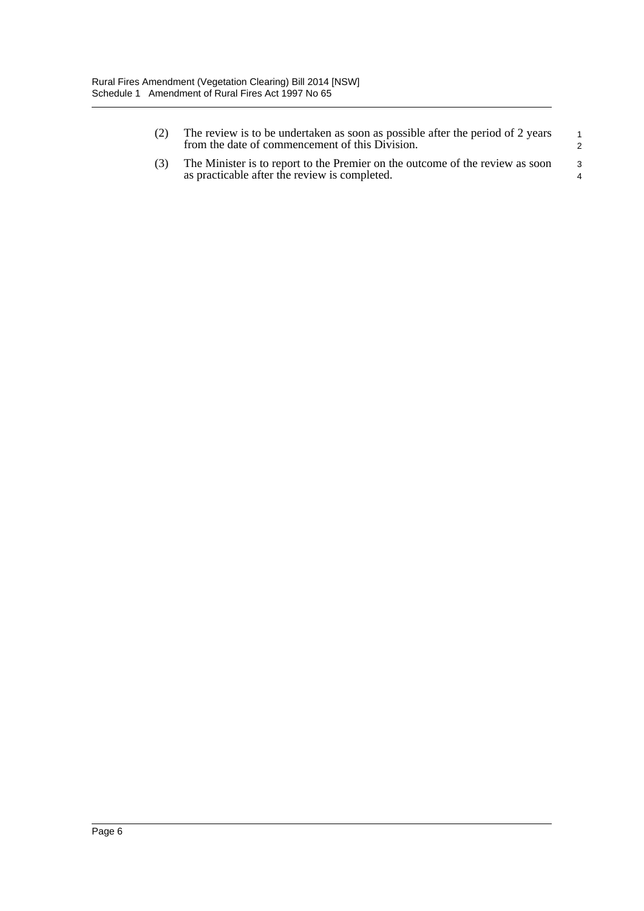| (2) | The review is to be undertaken as soon as possible after the period of 2 years<br>from the date of commencement of this Division. | $\overline{1}$ |
|-----|-----------------------------------------------------------------------------------------------------------------------------------|----------------|
| (3) | The Minister is to report to the Premier on the outcome of the review as soon<br>as practicable after the review is completed.    | -3<br>4        |